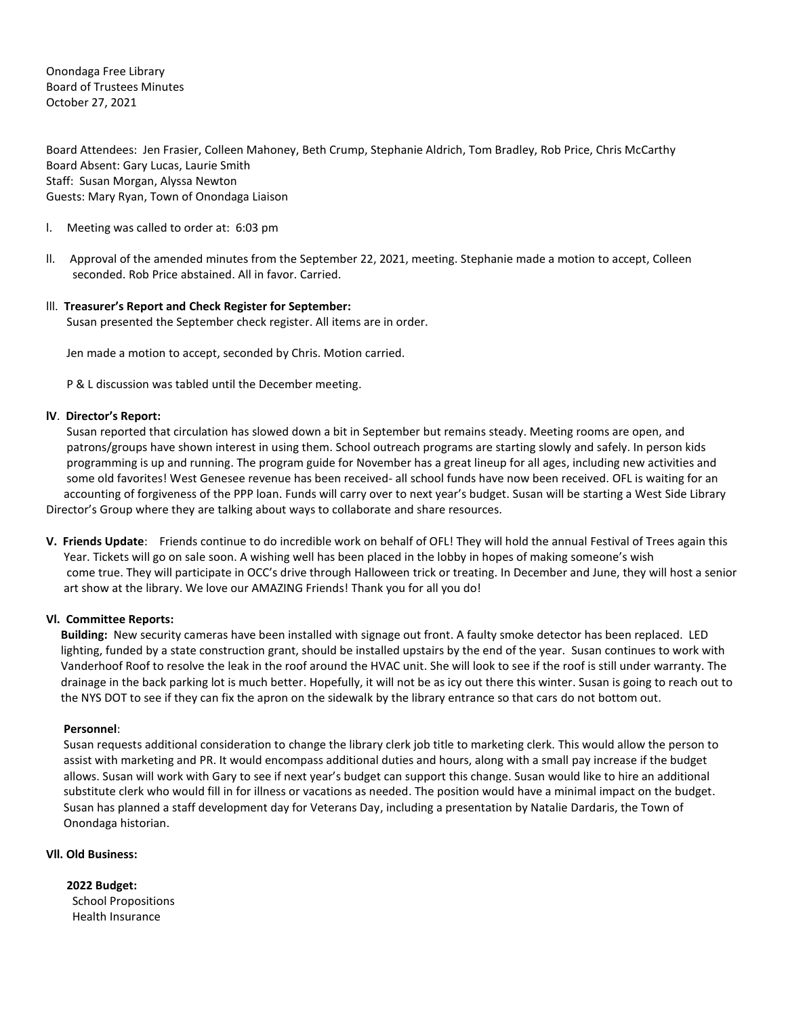Onondaga Free Library Board of Trustees Minutes October 27, 2021

Board Attendees: Jen Frasier, Colleen Mahoney, Beth Crump, Stephanie Aldrich, Tom Bradley, Rob Price, Chris McCarthy Board Absent: Gary Lucas, Laurie Smith Staff: Susan Morgan, Alyssa Newton Guests: Mary Ryan, Town of Onondaga Liaison

- l. Meeting was called to order at: 6:03 pm
- ll. Approval of the amended minutes from the September 22, 2021, meeting. Stephanie made a motion to accept, Colleen seconded. Rob Price abstained. All in favor. Carried.

# lll. **Treasurer's Report and Check Register for September:**

Susan presented the September check register. All items are in order.

Jen made a motion to accept, seconded by Chris. Motion carried.

P & L discussion was tabled until the December meeting.

# **lV**. **Director's Report:**

 Susan reported that circulation has slowed down a bit in September but remains steady. Meeting rooms are open, and patrons/groups have shown interest in using them. School outreach programs are starting slowly and safely. In person kids programming is up and running. The program guide for November has a great lineup for all ages, including new activities and some old favorites! West Genesee revenue has been received- all school funds have now been received. OFL is waiting for an accounting of forgiveness of the PPP loan. Funds will carry over to next year's budget. Susan will be starting a West Side Library Director's Group where they are talking about ways to collaborate and share resources.

**V. Friends Update**: Friends continue to do incredible work on behalf of OFL! They will hold the annual Festival of Trees again this Year. Tickets will go on sale soon. A wishing well has been placed in the lobby in hopes of making someone's wish come true. They will participate in OCC's drive through Halloween trick or treating. In December and June, they will host a senior art show at the library. We love our AMAZING Friends! Thank you for all you do!

### **Vl. Committee Reports:**

**Building:** New security cameras have been installed with signage out front. A faulty smoke detector has been replaced. LED lighting, funded by a state construction grant, should be installed upstairs by the end of the year. Susan continues to work with Vanderhoof Roof to resolve the leak in the roof around the HVAC unit. She will look to see if the roof is still under warranty. The drainage in the back parking lot is much better. Hopefully, it will not be as icy out there this winter. Susan is going to reach out to the NYS DOT to see if they can fix the apron on the sidewalk by the library entrance so that cars do not bottom out.

### **Personnel**:

Susan requests additional consideration to change the library clerk job title to marketing clerk. This would allow the person to assist with marketing and PR. It would encompass additional duties and hours, along with a small pay increase if the budget allows. Susan will work with Gary to see if next year's budget can support this change. Susan would like to hire an additional substitute clerk who would fill in for illness or vacations as needed. The position would have a minimal impact on the budget. Susan has planned a staff development day for Veterans Day, including a presentation by Natalie Dardaris, the Town of Onondaga historian.

# **Vll. Old Business:**

 **2022 Budget:**  School Propositions Health Insurance